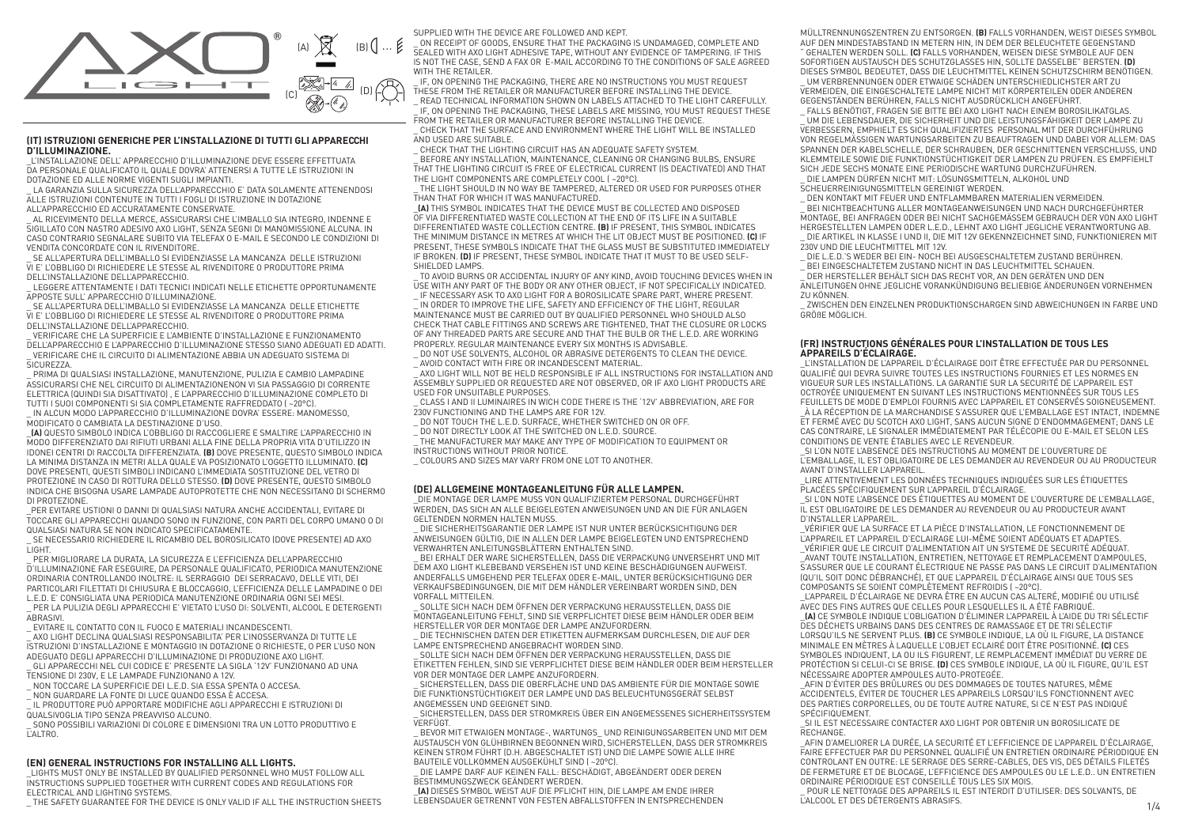

# **(IT) ISTRUZIONI GENERICHE PER L'INSTALLAZIONE DI TUTTI GLI APPARECCHI D'ILLUMINAZIONE.**

\_L'INSTALLAZIONE DELL' APPARECCHIO D'ILLUMINAZIONE DEVE ESSERE EFFETTUATA DA PERSONALE QUALIFICATO IL QUALE DOVRA' ATTENERSI A TUTTE LE ISTRUZIONI IN DOTAZIONE ED ALLE NORME VIGENTI SUGLI IMPIANTI.

\_ LA GARANZIA SULLA SICUREZZA DELL'APPARECCHIO E' DATA SOLAMENTE ATTENENDOSI ALLE ISTRUZIONI CONTENUTE IN TUTTI I FOGLI DI ISTRUZIONE IN DOTAZIONE ALL'APPARECCHIO ED ACCURATAMENTE CONSERVATE.

\_ AL RICEVIMENTO DELLA MERCE, ASSICURARSI CHE L'IMBALLO SIA INTEGRO, INDENNE E SIGILLATO CON NASTRO ADESIVO AXO LIGHT, SENZA SEGNI DI MANOMISSIONE ALCUNA. IN CASO CONTRARIO SEGNALARE SUBITO VIA TELEFAX O E-MAIL E SECONDO LE CONDIZIONI DI VENDITA CONCORDATE CON IL RIVENDITORE.

SE ALL'APERTURA DELL'IMBALLO SI EVIDENZIASSE LA MANCANZA DELLE ISTRUZIONI VI E' L'OBBLIGO DI RICHIEDERE LE STESSE AL RIVENDITORE O PRODUTTORE PRIMA DELL'INSTALLAZIONE DELL'APPARECCHIO.

\_ LEGGERE ATTENTAMENTE I DATI TECNICI INDICATI NELLE ETICHETTE OPPORTUNAMENTE

APPOSTE SULL' APPARECCHIO D'ILLUMINAZIONE. SE ALL'APERTURA DELL'IMBALLO SI EVIDENZIASSE LA MANCANZA DELLE ETICHETTE VI E' L'OBBLIGO DI RICHIEDERE LE STESSE AL RIVENDITORE O PRODUTTORE PRIMA

DELL'INSTALLAZIONE DELL'APPARECCHIO.

\_ VERIFICARE CHE LA SUPERFICIE E L'AMBIENTE D'INSTALLAZIONE E FUNZIONAMENTO DELL'APPARECCHIO E L'APPARECCHIO D'ILLUMINAZIONE STESSO SIANO ADEGUATI ED ADATTI. \_ VERIFICARE CHE IL CIRCUITO DI ALIMENTAZIONE ABBIA UN ADEGUATO SISTEMA DI SICUREZZA

\_ PRIMA DI QUALSIASI INSTALLAZIONE, MANUTENZIONE, PULIZIA E CAMBIO LAMPADINE ASSICURARSI CHE NEL CIRCUITO DI ALIMENTAZIONENON VI SIA PASSAGGIO DI CORRENTE ELETTRICA (QUINDI SIA DISATTIVATO) , E L'APPARECCHIO D'ILLUMINAZIONE COMPLETO DI TUTTI I SUOI COMPONENTI SI SIA COMPLETAMENTE RAFFREDDATO ( ~20°C).

IN ALCUN MODO L'APPARECCHIO D'ILLUMINAZIONE DOVRA' ESSERE: MANOMESSO, MODIFICATO O CAMBIATA LA DESTINAZIONE D'USO.

\_**(A)** QUESTO SIMBOLO INDICA L'OBBLIGO DI RACCOGLIERE E SMALTIRE L'APPARECCHIO IN MODO DIFFERENZIATO DAI RIFIUTI URBANI ALLA FINE DELLA PROPRIA VITA D'UTILIZZO IN IDONEI CENTRI DI RACCOLTA DIFFERENZIATA. **(B)** DOVE PRESENTE, QUESTO SIMBOLO INDICA LA MINIMA DISTANZA IN METRI ALLA QUALE VA POSIZIONATO L'OGGETTO ILLUMINATO. **(C)**  DOVE PRESENTI, QUESTI SIMBOLI INDICANO L'IMMEDIATA SOSTITUZIONE DEL VETRO DI PROTEZIONE IN CASO DI ROTTURA DELLO STESSO. **(D)** DOVE PRESENTE, QUESTO SIMBOLO INDICA CHE BISOGNA USARE LAMPADE AUTOPROTETTE CHE NON NECESSITANO DI SCHERMO DI PROTEZIONE.

\_PER EVITARE USTIONI O DANNI DI QUALSIASI NATURA ANCHE ACCIDENTALI, EVITARE DI TOCCARE GLI APPARECCHI QUANDO SONO IN FUNZIONE, CON PARTI DEL CORPO UMANO O DI QUALSIASI NATURA SE NON INDICATO SPECIFICATAMENTE.

\_ SE NECESSARIO RICHIEDERE IL RICAMBIO DEL BOROSILICATO (DOVE PRESENTE) AD AXO LIGHT.

PER MIGLIORARE LA DURATA, LA SICUREZZA E L'EFFICIENZA DELL'APPARECCHIO D'ILLUMINAZIONE FAR ESEGUIRE, DA PERSONALE QUALIFICATO, PERIODICA MANUTENZIONE ORDINARIA CONTROLLANDO INOLTRE: IL SERRAGGIO DEI SERRACAVO, DELLE VITI, DEI PARTICOLARI FILETTATI DI CHIUSURA E BLOCCAGGIO, L'EFFICIENZA DELLE LAMPADINE O DEI L.E.D. E' CONSIGLIATA UNA PERIODICA MANUTENZIONE ORDINARIA OGNI SEI MESI.

\_ PER LA PULIZIA DEGLI APPARECCHI E' VIETATO L'USO DI: SOLVENTI, ALCOOL E DETERGENTI **ABRASIVI** 

\_ EVITARE IL CONTATTO CON IL FUOCO E MATERIALI INCANDESCENTI.

\_ AXO LIGHT DECLINA QUALSIASI RESPONSABILITA' PER L'INOSSERVANZA DI TUTTE LE ISTRUZIONI D'INSTALLAZIONE E MONTAGGIO IN DOTAZIONE O RICHIESTE, O PER L'USO NON ADEGUATO DEGLI APPARECCHI D'ILLUMINAZIONE DI PRODUZIONE AXO LIGHT. \_ GLI APPARECCHI NEL CUI CODICE E' PRESENTE LA SIGLA '12V' FUNZIONANO AD UNA

TENSIONE DI 230V, E LE LAMPADE FUNZIONANO A 12V.

\_ NON TOCCARE LA SUPERFICIE DEI L.E.D. SIA ESSA SPENTA O ACCESA.

\_ NON GUARDARE LA FONTE DI LUCE QUANDO ESSA È ACCESA.

.<br>IL PRODUTTORE PUÒ APPORTARE MODIFICHE AGLI APPARECCHI E ISTRUZIONI DI QUALSIVOGLIA TIPO SENZA PREAVVISO ALCUNO.

\_ SONO POSSIBILI VARIAZIONI DI COLORE E DIMENSIONI TRA UN LOTTO PRODUTTIVO E L'ALTRO.

# **(EN) GENERAL INSTRUCTIONS FOR INSTALLING ALL LIGHTS.**

\_LIGHTS MUST ONLY BE INSTALLED BY QUALIFIED PERSONNEL WHO MUST FOLLOW ALL INSTRUCTIONS SUPPLIED TOGETHER WITH CURRENT CODES AND REGULATIONS FOR ELECTRICAL AND LIGHTING SYSTEMS.

\_ THE SAFETY GUARANTEE FOR THE DEVICE IS ONLY VALID IF ALL THE INSTRUCTION SHEETS

SUPPLIED WITH THE DEVICE ARE FOLLOWED AND KEPT.

\_ ON RECEIPT OF GOODS, ENSURE THAT THE PACKAGING IS UNDAMAGED, COMPLETE AND SEALED WITH AXO LIGHT ADHESIVE TAPE, WITHOUT ANY EVIDENCE OF TAMPERING. IF THIS IS NOT THE CASE, SEND A FAX OR E-MAIL ACCORDING TO THE CONDITIONS OF SALE AGREED WITH THE RETAILER.

\_ IF, ON OPENING THE PACKAGING, THERE ARE NO INSTRUCTIONS YOU MUST REQUEST THESE FROM THE RETAILER OR MANUFACTURER BEFORE INSTALLING THE DEVICE.

READ TECHNICAL INFORMATION SHOWN ON LABELS ATTACHED TO THE LIGHT CAREFULLY. \_ IF, ON OPENING THE PACKAGING, THESE LABELS ARE MISSING, YOU MUST REQUEST THESE FROM THE RETAILER OR MANUFACTURER BEFORE INSTALLING THE DEVICE.

\_ CHECK THAT THE SURFACE AND ENVIRONMENT WHERE THE LIGHT WILL BE INSTALLED AND USED ARE SUITABLE.

\_ CHECK THAT THE LIGHTING CIRCUIT HAS AN ADEQUATE SAFETY SYSTEM. .<br>BEFORE ANY INSTALLATION, MAINTENANCE, CLEANING OR CHANGING BULBS, ENSURE THAT THE LIGHTING CIRCUIT IS FREE OF ELECTRICAL CURRENT (IS DEACTIVATED) AND THAT THE LIGHT COMPONENTS ARE COMPLETELY COOL ( ~20°C).

\_ THE LIGHT SHOULD IN NO WAY BE TAMPERED, ALTERED OR USED FOR PURPOSES OTHER THAN THAT FOR WHICH IT WAS MANUFACTURED.

\_**(A)** THIS SYMBOL INDICATES THAT THE DEVICE MUST BE COLLECTED AND DISPOSED OF VIA DIFFERENTIATED WASTE COLLECTION AT THE END OF ITS LIFE IN A SUITABLE DIFFERENTIATED WASTE COLLECTION CENTRE. **(B)** IF PRESENT, THIS SYMBOL INDICATES THE MINIMUM DISTANCE IN METRES AT WHICH THE LIT OBJECT MUST BE POSITIONED. **(C)** IF PRESENT, THESE SYMBOLS INDICATE THAT THE GLASS MUST BE SUBSTITUTED IMMEDIATELY IF BROKEN. **(D)** IF PRESENT, THESE SYMBOL INDICATE THAT IT MUST TO BE USED SELF-SHIELDED LAMPS.

TO AVOID BURNS OR ACCIDENTAL INJURY OF ANY KIND, AVOID TOUCHING DEVICES WHEN IN USE WITH ANY PART OF THE BODY OR ANY OTHER OBJECT, IF NOT SPECIFICALLY INDICATED. \_ IF NECESSARY ASK TO AXO LIGHT FOR A BOROSILICATE SPARE PART, WHERE PRESENT.

\_ IN ORDER TO IMPROVE THE LIFE, SAFETY AND EFFICIENCY OF THE LIGHT, REGULAR MAINTENANCE MUST BE CARRIED OUT BY QUALIFIED PERSONNEL WHO SHOULD ALSO CHECK THAT CABLE FITTINGS AND SCREWS ARE TIGHTENED, THAT THE CLOSURE OR LOCKS OF ANY THREADED PARTS ARE SECURE AND THAT THE BULB OR THE L.E.D. ARE WORKING PROPERLY. REGULAR MAINTENANCE EVERY SIX MONTHS IS ADVISABLE.

\_ DO NOT USE SOLVENTS, ALCOHOL OR ABRASIVE DETERGENTS TO CLEAN THE DEVICE. \_ AVOID CONTACT WITH FIRE OR INCANDESCENT MATERIAL.

\_ AXO LIGHT WILL NOT BE HELD RESPONSIBLE IF ALL INSTRUCTIONS FOR INSTALLATION AND ASSEMBLY SUPPLIED OR REQUESTED ARE NOT OBSERVED, OR IF AXO LIGHT PRODUCTS ARE USED FOR UNSUITABLE PURPOSES.

\_ CLASS I AND II LUMINAIRES IN WICH CODE THERE IS THE '12V' ABBREVIATION, ARE FOR 230V FUNCTIONING AND THE LAMPS ARE FOR 12V.

\_ DO NOT TOUCH THE L.E.D. SURFACE, WHETHER SWITCHED ON OR OFF.

\_ DO NOT DIRECTLY LOOK AT THE SWITCHED ON L.E.D. SOURCE.

\_ THE MANUFACTURER MAY MAKE ANY TYPE OF MODIFICATION TO EQUIPMENT OR INSTRUCTIONS WITHOUT PRIOR NOTICE.

\_ COLOURS AND SIZES MAY VARY FROM ONE LOT TO ANOTHER.

# **(DE) ALLGEMEINE MONTAGEANLEITUNG FÜR ALLE LAMPEN.**

\_DIE MONTAGE DER LAMPE MUSS VON QUALIFIZIERTEM PERSONAL DURCHGEFÜHRT WERDEN, DAS SICH AN ALLE BEIGELEGTEN ANWEISUNGEN UND AN DIE FÜR ANLAGEN GELTENDEN NORMEN HALTEN MUSS.

\_ DIE SICHERHEITSGARANTIE DER LAMPE IST NUR UNTER BERÜCKSICHTIGUNG DER ANWEISUNGEN GÜLTIG, DIE IN ALLEN DER LAMPE BEIGELEGTEN UND ENTSPRECHEND VERWAHRTEN ANLEITUNGSBLÄTTERN ENTHALTEN SIND.

\_ BEI ERHALT DER WARE SICHERSTELLEN, DASS DIE VERPACKUNG UNVERSEHRT UND MIT DEM AXO LIGHT KLEBEBAND VERSEHEN IST UND KEINE BESCHÄDIGUNGEN AUFWEIST. ANDERFALLS UMGEHEND PER TELEFAX ODER E-MAIL, UNTER BERÜCKSICHTIGUNG DER VERKAUFSBEDINGUNGEN, DIE MIT DEM HÄNDLER VEREINBART WORDEN SIND, DEN VORFALL MITTEILEN.

\_ SOLLTE SICH NACH DEM ÖFFNEN DER VERPACKUNG HERAUSSTELLEN, DASS DIE MONTAGEANLEITUNG FEHLT, SIND SIE VERPFLICHTET DIESE BEIM HÄNDLER ODER BEIM HERSTELLER VOR DER MONTAGE DER LAMPE ANZUFORDERN.

\_ DIE TECHNISCHEN DATEN DER ETIKETTEN AUFMERKSAM DURCHLESEN, DIE AUF DER LAMPE ENTSPRECHEND ANGEBRACHT WORDEN SIND.

\_ SOLLTE SICH NACH DEM ÖFFNEN DER VERPACKUNG HERAUSSTELLEN, DASS DIE ETIKETTEN FEHLEN, SIND SIE VERPFLICHTET DIESE BEIM HÄNDLER ODER BEIM HERSTELLER VOR DER MONTAGE DER LAMPE ANZUFORDERN.

\_ SICHERSTELLEN, DASS DIE OBERFLÄCHE UND DAS AMBIENTE FÜR DIE MONTAGE SOWIE DIE FUNKTIONSTÜCHTIGKEIT DER LAMPE UND DAS BELEUCHTUNGSGERÄT SELBST ANGEMESSEN UND GEEIGNET SIND.

\_ SICHERSTELLEN, DASS DER STROMKREIS ÜBER EIN ANGEMESSENES SICHERHEITSSYSTEM **VERFÜGT** 

\_ BEVOR MIT ETWAIGEN MONTAGE-, WARTUNGS\_ UND REINIGUNGSARBEITEN UND MIT DEM AUSTAUSCH VON GLÜHBIRNEN BEGONNEN WIRD, SICHERSTELLEN, DASS DER STROMKREIS KEINEN STROM FÜHRT (D.H. ABGESCHALTET IST) UND DIE LAMPE SOWIE ALLE IHRE BAUTEILE VOLLKOMMEN AUSGEKÜHLT SIND ( ~20°C).

\_ DIE LAMPE DARF AUF KEINEN FALL: BESCHÄDIGT, ABGEÄNDERT ODER DEREN BESTIMMUNGSZWECK GEÄNDERT WERDEN.

\_**(A)** DIESES SYMBOL WEIST AUF DIE PFLICHT HIN, DIE LAMPE AM ENDE IHRER LEBENSDAUER GETRENNT VON FESTEN ABFALLSTOFFEN IN ENTSPRECHENDEN MÜLLTRENNUNGSZENTREN ZU ENTSORGEN. **(B)** FALLS VORHANDEN, WEIST DIESES SYMBOL AUF DEN MINDESTABSTAND IN METERN HIN, IN DEM DER BELEUCHTETE GEGENSTAND " GEHALTEN WERDEN SOLL. **(C)** FALLS VORHANDEN, WEISEN DIESE SYMBOLE AUF DEN SOFORTIGEN AUSTAUSCH DES SCHUTZGLASSES HIN, SOLLTE DASSELBE" BERSTEN. **(D)**  DIESES SYMBOL BEDEUTET, DASS DIE LEUCHTMITTEL KEINEN SCHUTZSCHIRM BENÖTIGEN. \_ UM VERBRENNUNGEN ODER ETWAIGE SCHÄDEN UNTERSCHIEDLICHSTER ART ZU VERMEIDEN, DIE EINGESCHALTETE LAMPE NICHT MIT KÖRPERTEILEN ODER ANDEREN GEGENSTÄNDEN BERÜHREN, FALLS NICHT AUSDRÜCKLICH ANGEFÜHRT.

FALLS BENÖTIGT, FRAGEN SIE BITTE BEI AXO LIGHT NACH EINEM BOROSILIKATGLAS. \_ UM DIE LEBENSDAUER, DIE SICHERHEIT UND DIE LEISTUNGSFÄHIGKEIT DER LAMPE ZU VERBESSERN, EMPHIELT ES SICH QUALIFIZIERTES PERSONAL MIT DER DURCHFÜHRUNG VON REGELMÄSSIGEN WARTUNGSARBEITEN ZU BEAUFTRAGEN UND DABEI VOR ALLEM: DAS SPANNEN DER KABELSCHELLE, DER SCHRAUBEN, DER GESCHNITTENEN VERSCHLUSS, UND KLEMMTEILE SOWIE DIE FUNKTIONSTÜCHTIGKEIT DER LAMPEN ZU PRÜFEN. ES EMPFIEHLT SICH JEDE SECHS MONATE EINE PERIODISCHE WARTUNG DURCHZUFÜHREN. \_ DIE LAMPEN DÜRFEN NICHT MIT: LÖSUNGSMITTELN, ALKOHOL UND

SCHEUERREINIGUNGSMITTELN GEREINIGT WERDEN.

DEN KONTAKT MIT FEUER UND ENTFLAMMBAREN MATERIALIEN VERMEIDEN. .<br>BEI NICHTBEACHTUNG ALLER MONTAGEANWEISUNGEN UND NACH DURCHGEFÜHRTER MONTAGE, BEI ANFRAGEN ODER BEI NICHT SACHGEMÄSSEM GEBRAUCH DER VON AXO LIGHT HERGESTELLTEN LAMPEN ODER L.E.D., LEHNT AXO LIGHT JEGLICHE VERANTWORTUNG AB. \_ DIE ARTIKEL IN KLASSE I UND II, DIE MIT 12V GEKENNZEICHNET SIND, FUNKTIONIEREN MIT 230V UND DIE LEUCHTMITTEL MIT 12V.

\_ DIE L.E.D.'S WEDER BEI EIN- NOCH BEI AUSGESCHALTETEM ZUSTAND BERÜHREN.

.<br>BEI EINGESCHALTETEM ZUSTAND NICHT IN DAS LEUCHTMITTEL SCHAUEN.

.<br>DER HERSTELLER BEHÄLT SICH DAS RECHT VOR, AN DEN GERÄTEN UND DEN ANLEITUNGEN OHNE JEGLICHE VORANKÜNDIGUNG BELIEBIGE ÄNDERUNGEN VORNEHMEN ZU KÖNNEN.

\_ ZWISCHEN DEN EINZELNEN PRODUKTIONSCHARGEN SIND ABWEICHUNGEN IN FARBE UND GRÖßE MÖGLICH.

# **(FR) INSTRUCTIONS GÉNÉRALES POUR L'INSTALLATION DE TOUS LES APPAREILS D'ÉCLAIRAGE.**

\_L'INSTALLATION DE L'APPAREIL D'ÉCLAIRAGE DOIT ÊTRE EFFECTUÉE PAR DU PERSONNEL QUALIFIÉ QUI DEVRA SUIVRE TOUTES LES INSTRUCTIONS FOURNIES ET LES NORMES EN VIGUEUR SUR LES INSTALLATIONS. LA GARANTIE SUR LA SECURITÉ DE L'APPAREIL EST OCTROYÉE UNIQUEMENT EN SUIVANT LES INSTRUCTIONS MENTIONNÉES SUR TOUS LES FEUILLETS DE MODE D'EMPLOI FOURNIS AVEC L'APPAREIL ET CONSERVÉS SOIGNEUSEMENT. \_À LA RÉCEPTION DE LA MARCHANDISE S'ASSURER QUE L'EMBALLAGE EST INTACT, INDEMNE ET FERMÉ AVEC DU SCOTCH AXO LIGHT, SANS AUCUN SIGNE D'ENDOMMAGEMENT; DANS LE CAS CONTRAIRE, LE SIGNALER IMMÉDIATEMENT PAR TÉLÉCOPIE OU E-MAIL ET SELON LES CONDITIONS DE VENTE ÉTABLIES AVEC LE REVENDEUR.

\_SI L'ON NOTE L'ABSENCE DES INSTRUCTIONS AU MOMENT DE L'OUVERTURE DE L'EMBALLAGE, IL EST OBLIGATOIRE DE LES DEMANDER AU REVENDEUR OU AU PRODUCTEUR AVANT D'INSTALLER L'APPAREIL.

\_LIRE ATTENTIVEMENT LES DONNÉES TECHNIQUES INDIQUÉES SUR LES ÉTIQUETTES PLACÉES SPÉCIFIQUEMENT SUR L'APPAREIL D'ÉCLAIRAGE.

\_SI L'ON NOTE L'ABSENCE DES ÉTIQUETTES AU MOMENT DE L'OUVERTURE DE L'EMBALLAGE, IL EST OBLIGATOIRE DE LES DEMANDER AU REVENDEUR OU AU PRODUCTEUR AVANT D'INSTALLER L'APPAREIL.

\_VÉRIFIER QUE LA SURFACE ET LA PIÈCE D'INSTALLATION, LE FONCTIONNEMENT DE L'APPAREIL ET L'APPAREIL D'ECLAIRAGE LUI-MÊME SOIENT ADÉQUATS ET ADAPTES. \_VÉRIFIER QUE LE CIRCUIT D'ALIMENTATION AIT UN SYSTEME DE SECURITÉ ADÉQUAT. \_AVANT TOUTE INSTALLATION, ENTRETIEN, NETTOYAGE ET REMPLACEMENT D'AMPOULES, S'ASSURER QUE LE COURANT ÉLECTRIQUE NE PASSE PAS DANS LE CIRCUIT D'ALIMENTATION (QU'IL SOIT DONC DÉBRANCHÉ), ET QUE L'APPAREIL D'ÉCLAIRAGE AINSI QUE TOUS SES COMPOSANTS SE SOIENT COMPLÈTEMENT REFROIDIS ( ~20°C).

\_L'APPAREIL D'ÉCLAIRAGE NE DEVRA ÊTRE EN AUCUN CAS ALTERÉ, MODIFIÉ OU UTILISÉ AVEC DES FINS AUTRES QUE CELLES POUR LESQUELLES IL A ÉTÉ FABRIQUÉ.

\_**(A)** CE SYMBOLE INDIQUE L'OBLIGATION D'ÉLIMINER L'APPAREIL À L'AIDE DU TRI SÉLECTIF DES DÉCHETS URBAINS DANS DES CENTRES DE RAMASSAGE ET DE TRI SÉLECTIF LORSQU'ILS NE SERVENT PLUS. **(B)** CE SYMBOLE INDIQUE, LA OÙ IL FIGURE, LA DISTANCE MINIMALE EN MÈTRES À LAQUELLE L'OBJET ECLAIRÉ DOIT ÊTRE POSITIONNÉ. **(C)** CES SYMBOLES INDIQUENT, LA OU ILS FIGURENT, LE REMPLACEMENT IMMÉDIAT DU VERRE DE PROTÉCTION SI CELUI-CI SE BRISE. **(D)** CES SYMBOLE INDIQUE, LA OÙ IL FIGURE, QU'IL EST NÉCESSAIRE ADOPTER AMPOULES AUTO-PROTEGÉE.

\_AFIN D'ÉVITER DES BRÛLURES OU DES DOMMAGES DE TOUTES NATURES, MÊME ACCIDENTELS, ÉVITER DE TOUCHER LES APPAREILS LORSQU'ILS FONCTIONNENT AVEC DES PARTIES CORPORELLES, OU DE TOUTE AUTRE NATURE, SI CE N'EST PAS INDIQUÉ SPÉCIFIQUEMENT.

\_SI IL EST NECESSAIRE CONTACTER AXO LIGHT POR OBTENIR UN BOROSILICATE DE RECHANGE.

\_AFIN D'AMELIORER LA DURÉE, LA SECURITÉ ET L'EFFICIENCE DE L'APPAREIL D'ÉCLAIRAGE, FAIRE EFFECTUER PAR DU PERSONNEL QUALIFIÉ UN ENTRETIEN ORDINAIRE PÉRIODIQUE EN CONTROLANT EN OUTRE: LE SERRAGE DES SERRE-CABLES, DES VIS, DES DÉTAILS FILETÉS DE FERMETURE ET DE BLOCAGE, L'EFFICIENCE DES AMPOULES OU LE L.E.D.. UN ENTRETIEN ORDINAIRE PÉRIODIQUE EST CONSEILLÉ TOUS LES SIX MOIS.

\_ POUR LE NETTOYAGE DES APPAREILS IL EST INTERDIT D'UTILISER: DES SOLVANTS, DE L'ALCOOL ET DES DÉTERGENTS ABRASIFS. 1/4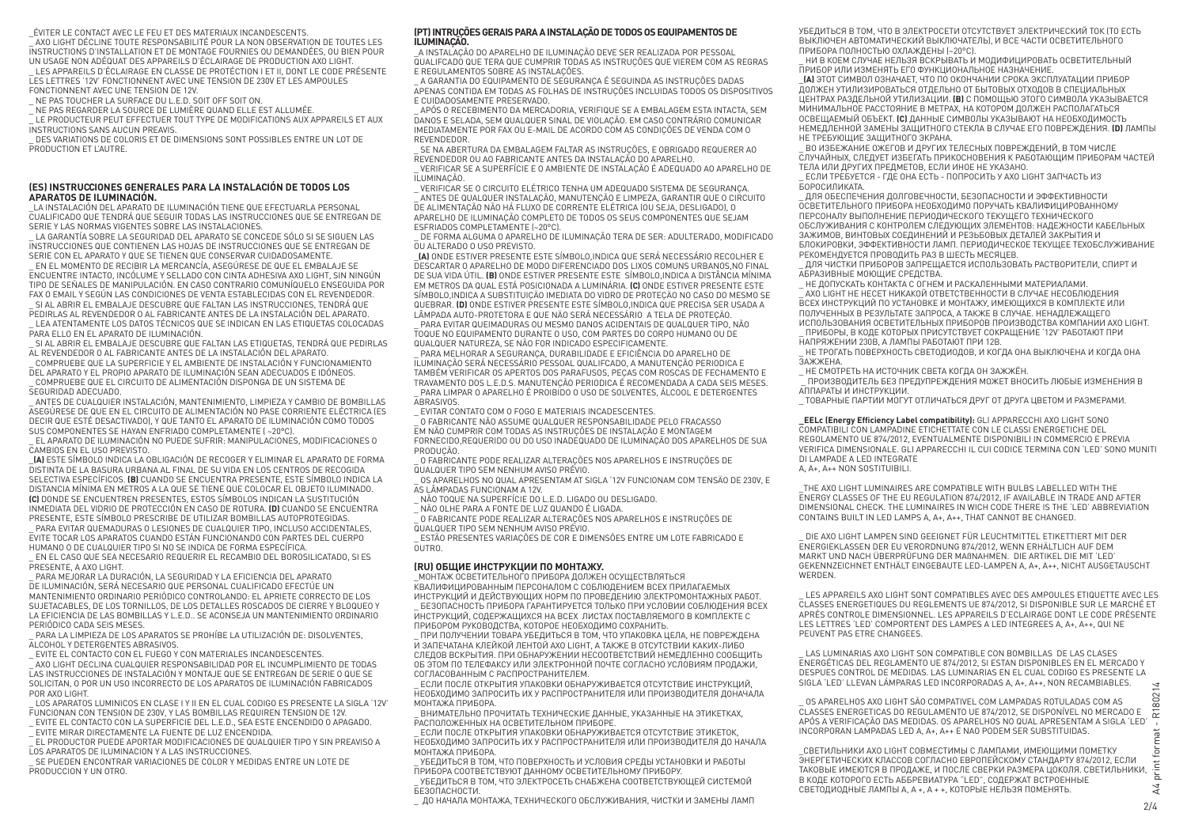#### \_ÉVITER LE CONTACT AVEC LE FEU ET DES MATERIAUX INCANDESCENTS.

\_ AXO LIGHT DÉCLINE TOUTE RESPONSABILITÉ POUR LA NON OBSERVATION DE TOUTES LES INSTRUCTIONS D'INSTALLATION ET DE MONTAGE FOURNIES OU DEMANDÉES, OU BIEN POUR UN USAGE NON ADÉQUAT DES APPAREILS D'ÉCLAIRAGE DE PRODUCTION AXO LIGHT.

\_ LES APPAREILS D'ÉCLAIRAGE EN CLASSE DE PROTÉCTION I ET II, DONT LE CODE PRÉSENTE LES LETTRES '12V' FONCTIONNENT AVEC UNE TENSION DE 230V ET LES AMPOULES FONCTIONNENT AVEC UNE TENSION DE 12V.

NE PAS TOUCHER LA SURFACE DU L.E.D. SOIT OFF SOIT ON

.<br>NE PAS REGARDER LA SOURCE DE LUMIÈRE QUAND ELLE EST ALLUMÉE.

\_ LE PRODUCTEUR PEUT EFFECTUER TOUT TYPE DE MODIFICATIONS AUX APPAREILS ET AUX INSTRUCTIONS SANS AUCUN PREAVIS.

DES VARIATIONS DE COLORIS ET DE DIMENSIONS SONT POSSIBLES ENTRE UN LOT DE PRODUCTION ET L'AUTRE.

### **(ES) INSTRUCCIONES GENERALES PARA LA INSTALACIÓN DE TODOS LOS APARATOS DE ILUMINACIÓN.**

\_LA INSTALACIÓN DEL APARATO DE ILUMINACIÓN TIENE QUE EFECTUARLA PERSONAL CUALIFICADO QUE TENDRÁ QUE SEGUIR TODAS LAS INSTRUCCIONES QUE SE ENTREGAN DE SERIE Y LAS NORMAS VIGENTES SOBRE LAS INSTALACIONES.

\_ LA GARANTÍA SOBRE LA SEGURIDAD DEL APARATO SE CONCEDE SÓLO SI SE SIGUEN LAS INSTRUCCIONES QUE CONTIENEN LAS HOJAS DE INSTRUCCIONES QUE SE ENTREGAN DE SERIE CON EL APARATO Y QUE SE TIENEN QUE CONSERVAR CUIDADOSAMENTE.

\_ EN EL MOMENTO DE RECIBIR LA MERCANCÍA, ASEGÚRESE DE QUE EL EMBALAJE SE ENCUENTRE INTACTO, INCÓLUME Y SELLADO CON CINTA ADHESIVA AXO LIGHT, SIN NINGÚN TIPO DE SEÑALES DE MANIPULACIÓN. EN CASO CONTRARIO COMUNÍQUELO ENSEGUIDA POR FAX O EMAIL Y SEGÚN LAS CONDICIONES DE VENTA ESTABLECIDAS CON EL REVENDEDOR. SI AL ABRIR EL EMBALA JE DESCUBRE QUE FALTAN LAS INSTRUCCIONES, TENDRÁ QUE

PEDIRLAS AL REVENDEDOR O AL FABRICANTE ANTES DE LA INSTALACIÓN DEL APARATO. \_ LEA ATENTAMENTE LOS DATOS TÉCNICOS QUE SE INDICAN EN LAS ETIQUETAS COLOCADAS

PARA ELLO EN EL APARATO DE ILUMINACIÓN.

\_ SI AL ABRIR EL EMBALAJE DESCUBRE QUE FALTAN LAS ETIQUETAS, TENDRÁ QUE PEDIRLAS AL REVENDEDOR O AL FABRICANTE ANTES DE LA INSTALACIÓN DEL APARATO.

\_ COMPRUEBE QUE LA SUPERFICIE Y EL AMBIENTE DE INSTALACIÓN Y FUNCIONAMIENTO DEL APARATO Y EL PROPIO APARATO DE ILUMINACIÓN SEAN ADECUADOS E IDÓNEOS. \_ COMPRUEBE QUE EL CIRCUITO DE ALIMENTACIÓN DISPONGA DE UN SISTEMA DE

SEGURIDAD ADECUADO.

\_ ANTES DE CUALQUIER INSTALACIÓN, MANTENIMIENTO, LIMPIEZA Y CAMBIO DE BOMBILLAS ASEGÚRESE DE QUE EN EL CIRCUITO DE ALIMENTACIÓN NO PASE CORRIENTE ELÉCTRICA (ES DECIR QUE ESTÉ DESACTIVADO), Y QUE TANTO EL APARATO DE ILUMINACIÓN COMO TODOS SUS COMPONENTES SE HAYAN ENFRIADO COMPLETAMENTE ( ~20°C).

\_ EL APARATO DE ILUMINACIÓN NO PUEDE SUFRIR: MANIPULACIONES, MODIFICACIONES O CAMBIOS EN EL USO PREVISTO.

\_**(A)** ESTE SÍMBOLO INDICA LA OBLIGACIÓN DE RECOGER Y ELIMINAR EL APARATO DE FORMA DISTINTA DE LA BASURA URBANA AL FINAL DE SU VIDA EN LOS CENTROS DE RECOGIDA SELECTIVA ESPECÍFICOS. **(B)** CUANDO SE ENCUENTRA PRESENTE, ESTE SÍMBOLO INDICA LA DISTANCIA MÍNIMA EN METROS A LA QUE SE TIENE QUE COLOCAR EL OBJETO ILUMINADO. **(C)** DONDE SE ENCUENTREN PRESENTES, ESTOS SÍMBOLOS INDICAN LA SUSTITUCIÓN INMEDIATA DEL VIDRIO DE PROTECCIÓN EN CASO DE ROTURA. **(D)** CUANDO SE ENCUENTRA PRESENTE, ESTE SÍMBOLO PRESCRIBE DE UTILIZAR BOMBILLAS AUTOPROTEGIDAS.

PARA EVITAR QUEMADURAS O LESIONES DE CUALQUIER TIPO, INCLUSO ACCIDENTALES, EVITE TOCAR LOS APARATOS CUANDO ESTÁN FUNCIONANDO CON PARTES DEL CUERPO HUMANO O DE CUALQUIER TIPO SI NO SE INDICA DE FORMA ESPECÍFICA.

\_ EN EL CASO QUE SEA NECESARIO REQUERIR EL RECAMBIO DEL BOROSILICATADO, SI ES PRESENTE, A AXO LIGHT.

\_ PARA MEJORAR LA DURACIÓN, LA SEGURIDAD Y LA EFICIENCIA DEL APARATO DE ILUMINACIÓN, SERÁ NECESARIO QUE PERSONAL CUALIFICADO EFECTÚE UN MANTENIMIENTO ORDINARIO PERIÓDICO CONTROLANDO: EL APRIETE CORRECTO DE LOS SUJETACABLES, DE LOS TORNILLOS, DE LOS DETALLES ROSCADOS DE CIERRE Y BLOQUEO Y LA EFICIENCIA DE LAS BOMBILLAS Y L.E.D.. SE ACONSEJA UN MANTENIMIENTO ORDINARIO PERIÓDICO CADA SEIS MESES.

\_ PARA LA LIMPIEZA DE LOS APARATOS SE PROHÍBE LA UTILIZACIÓN DE: DISOLVENTES, ALCOHOL Y DETERGENTES ABRASIVOS.

\_ EVITE EL CONTACTO CON EL FUEGO Y CON MATERIALES INCANDESCENTES.

\_ AXO LIGHT DECLINA CUALQUIER RESPONSABILIDAD POR EL INCUMPLIMIENTO DE TODAS LAS INSTRUCCIONES DE INSTALACIÓN Y MONTAJE QUE SE ENTREGAN DE SERIE O QUE SE SOLICITAN, O POR UN USO INCORRECTO DE LOS APARATOS DE ILUMINACIÓN FABRICADOS POR AXO LIGHT.

\_ LOS APARATOS LUMINICOS EN CLASE I Y II EN EL CUAL CODIGO ES PRESENTE LA SIGLA '12V' FUNCIONAN CON TENSION DE 230V, Y LAS BOMBILLAS REQUIREN TENSION DE 12V. \_ EVITE EL CONTACTO CON LA SUPERFICIE DEL L.E.D., SEA ESTE ENCENDIDO O APAGADO.

.<br>EVITE MIRAR DIRECTAMENTE LA FUENTE DE LUZ ENCENDIDA.

\_ EL PRODUCTOR PUEDE APORTAR MODIFICACIONES DE QUALQUIER TIPO Y SIN PREAVISO A LOS APARATOS DE ILUMINACION Y A LAS INSTRUCCIONES.

SE PUEDEN ENCONTRAR VARIACIONES DE COLOR Y MEDIDAS ENTRE UN LOTE DE PRODUCCION Y UN OTRO.

### **(PT) INTRUÇÕES GERAIS PARA A INSTALAÇÃO DE TODOS OS EQUIPAMENTOS DE ILUMINAÇÃO.**

\_A INSTALAÇÃO DO APARELHO DE ILUMINAÇÃO DEVE SER REALIZADA POR PESSOAL QUALIFCADO QUE TERA QUE CUMPRIR TODAS AS INSTRUÇÕES QUE VIEREM COM AS REGRAS E REGULAMENTOS SOBRE AS INSTALAÇÕES.

\_ A GARANTIA DO EQUIPAMENTO DE SEGURANÇA É SEGUINDA AS INSTRUÇÕES DADAS APENAS CONTIDA EM TODAS AS FOLHAS DE INSTRUÇÕES INCLUIDAS TODOS OS DISPOSITIVOS E CUIDADOSAMENTE PRESERVADO.

\_ APÓS O RECEBIMENTO DA MERCADORIA, VERIFIQUE SE A EMBALAGEM ESTA INTACTA, SEM DANOS E SELADA, SEM QUALQUER SINAL DE VIOLAÇÃO. EM CASO CONTRÁRIO COMUNICAR IMEDIATAMENTE POR FAX OU E-MAIL DE ACORDO COM AS CONDIÇÕES DE VENDA COM O REVENDEDOR.

\_ SE NA ABERTURA DA EMBALAGEM FALTAR AS INSTRUÇÕES, E OBRIGADO REQUERER AO REVENDEDOR OU AO FABRICANTE ANTES DA INSTALAÇÃO DO APARELHO. \_ VERIFICAR SE A SUPERFÍCIE E O AMBIENTE DE INSTALAÇÃO É ADEQUADO AO APARELHO DE ILUMINAÇÃO.

\_ VERIFICAR SE O CIRCUITO ELÉTRICO TENHA UM ADEQUADO SISTEMA DE SEGURANÇA. .<br>ANTES DE QUALQUER INSTALAÇÃO, MANUTENÇÃO E LIMPEZA, GARANTIR QUE O CIRCUITO DE ALIMENTAÇÃO NÃO HÁ FLUXO DE CORRENTE ELÉTRICA (OU SEJA, DESLIGADO), O APARELHO DE ILUMINAÇÃO COMPLETO DE TODOS OS SEUS COMPONENTES QUE SEJAM ESFRIADOS COMPLETAMENTE (~20°C).

\_ DE FORMA ALGUMA O APARELHO DE ILUMINAÇÃO TERA DE SER: ADULTERADO, MODIFICADO OU ALTERADO O USO PREVISTO.

\_**(A)** ONDE ESTIVER PRESENTE ESTE SÍMBOLO,INDICA QUE SERÁ NECESSÁRIO RECOLHER E DESCARTAR O APARELHO DE MODO DIFERENCIADO DOS LIXOS COMUNS URBANOS,NO FINAL DE SUA VIDA ÚTIL. **(B)** ONDE ESTIVER PRESENTE ESTE SÍMBOLO,INDICA A DISTÂNCIA MÍNIMA EM METROS DA QUAL ESTÁ POSICIONADA A LUMINÁRIA. **(C)** ONDE ESTIVER PRESENTE ESTE SÍMBOLO,INDICA A SUBSTITUIÇÄO IMEDIATA DO VIDRO DE PROTEÇÄO NO CASO DO MESMO SE QUEBRAR. **(D)** ONDE ESTIVER PRESENTE ESTE SÍMBOLO,INDICA QUE PRECISA SER USADA A LÂMPADA AUTO-PROTETORA E QUE NÄO SERÁ NECESSÁRIO A TELA DE PROTEÇÄO. \_ PARA EVITAR QUEIMADURAS OU MESMO DANOS ACIDENTAIS DE QUALQUER TIPO, NÃO TOQUE NO EQUIPAMENTO DURANTE O USO, COM PARTES DO CORPO HUMANO OU DE QUALQUER NATUREZA, SE NÃO FOR INDICADO ESPECIFICAMENTE.

\_ PARA MELHORAR A SEGURANÇA, DURABILIDADE E EFICIÊNCIA DO APARELHO DE ILUMINAÇÃO SERÁ NECESSÁRIO PESSOAL QUALIFCADO, A MANUTENÇÃO PERIODICA E TAMBÉM VERIFICAR OS APERTOS DOS PARAFUSOS, PEÇAS COM ROSCAS DE FECHAMENTO E TRAVAMENTO DOS L.E.D.S. MANUTENÇÃO PERIODICA É RECOMENDADA A CADA SEIS MESES. PARA LIMPAR O APARELHO É PROIBIDO O USO DE SOLVENTES, ÁLCOOL E DETERGENTES ABRASIVOS.

\_ EVITAR CONTATO COM O FOGO E MATERIAIS INCADESCENTES.

\_ O FABRICANTE NÃO ASSUME QUALQUER RESPONSABILIDADE PELO FRACASSO EM NÃO CUMPRIR COM TODAS AS INSTRUÇÕES DE INSTALAÇÃO E MONTAGEM FORNECIDO,REQUERIDO OU DO USO INADEQUADO DE ILUMINAÇÃO DOS APARELHOS DE SUA PRODUÇÃO.

\_ O FABRICANTE PODE REALIZAR ALTERAÇÕES NOS APARELHOS E INSTRUÇÕES DE QUALQUER TIPO SEM NENHUM AVISO PRÉVIO.

\_ OS APARELHOS NO QUAL APRESENTAM AT SIGLA '12V FUNCIONAM COM TENSÄO DE 230V, E AS LÂMPADAS FUNCIONAM A 12V.

\_ NÃO TOQUE NA SUPERFÍCIE DO L.E.D. LIGADO OU DESLIGADO.

.<br>- NÃO OLHE PARA A FONTE DE LUZ QUANDO É LIGADA

\_ O FABRICANTE PODE REALIZAR ALTERAÇÕES NOS APARELHOS E INSTRUÇÕES DE QUALQUER TIPO SEM NENHUM AVISO PRÉVIO.

\_ ESTÃO PRESENTES VARIAÇÕES DE COR E DIMENSÕES ENTRE UM LOTE FABRICADO E OUTRO.

## **(RU) ОБЩИЕ ИНСТРУКЦИИ ПО МОНТАЖУ.**

\_МОНТАЖ ОСВЕТИТЕЛЬНОГО ПРИБОРА ДОЛЖЕН ОСУЩЕСТВЛЯТЬСЯ

КВАЛИФИЦИРОВАННЫМ ПЕРСОНАЛОМ С СОБЛЮДЕНИЕМ ВСЕХ ПРИЛАГАЕМЫХ ИНСТРУКЦИЙ И ДЕЙСТВУЮЩИХ НОРМ ПО ПРОВЕДЕНИЮ ЭЛЕКТРОМОНТАЖНЫХ РАБОТ. \_ БЕЗОПАСНОСТЬ ПРИБОРА ГАРАНТИРУЕТСЯ ТОЛЬКО ПРИ УСЛОВИИ СОБЛЮДЕНИЯ ВСЕХ  $\bar{\mu}$ нструкций, солержащихся на всех листах поставляемого в комплекте с ПРИБОРОМ РУКОВОДСТВА, КОТОРОЕ НЕОБХОДИМО СОХРАНИТЬ.

\_ ПРИ ПОЛУЧЕНИИ ТОВАРА УБЕДИТЬСЯ В ТОМ, ЧТО УПАКОВКА ЦЕЛА, НЕ ПОВРЕЖДЕНА И ЗАПЕЧАТАНА КЛЕЙКОЙ ЛЕНТОЙ AXO LIGHT, А ТАКЖЕ В ОТСУТСТВИИ КАКИХ-ЛИБО СЛЕДОВ ВСКРЫТИЯ. ПРИ ОБНАРУЖЕНИИ НЕСООТВЕТСТВИЙ НЕМЕДЛЕННО СООБЩИТЬ ОБ ЭТОМ ПО ТЕЛЕФАКСУ ИЛИ ЭЛЕКТРОННОЙ ПОЧТЕ СОГЛАСНО УСЛОВИЯМ ПРОДАЖИ, СОГЛАСОВАННЫМ С РАСПРОСТРАНИТЕЛЕМ.

\_ ЕСЛИ ПОСЛЕ ОТКРЫТИЯ УПАКОВКИ ОБНАРУЖИВАЕТСЯ ОТСУТСТВИЕ ИНСТРУКЦИЙ, НЕОБХОДИМО ЗАПРОСИТЬ ИХ У РАСПРОСТРАНИТЕЛЯ ИЛИ ПРОИЗВОДИТЕЛЯ ДОНАЧАЛА МОНТАЖА ПРИБОРА.

\_ ВНИМАТЕЛЬНО ПРОЧИТАТЬ ТЕХНИЧЕСКИЕ ДАННЫЕ, УКАЗАННЫЕ НА ЭТИКЕТКАХ, РАСПОЛОЖЕННЫХ НА ОСВЕТИТЕЛЬНОМ ПРИБОРЕ.

ЕСЛИ ПОСЛЕ ОТКРЫТИЯ УПАКОВКИ ОБНАРУЖИВАЕТСЯ ОТСУТСТВИЕ ЭТИКЕТОК. НЕОБХОДИМО ЗАПРОСИТЬ ИХ У РАСПРОСТРАНИТЕЛЯ ИЛИ ПРОИЗВОДИТЕЛЯ ДО НАЧАЛА МОНТАЖА ПРИБОРА.

УБЕДИТЬСЯ В ТОМ, ЧТО ПОВЕРХНОСТЬ И УСЛОВИЯ СРЕДЫ УСТАНОВКИ И РАБОТЫ ПРИБОРА СООТВЕТСТВУЮТ ДАННОМУ ОСВЕТИТЕЛЬНОМУ ПРИБОРУ.

\_ УБЕДИТЬСЯ В ТОМ, ЧТО ЭЛЕКТРОСЕТЬ СНАБЖЕНА СООТВЕТСТВУЮЩЕЙ СИСТЕМОЙ **БЕЗОПАСНОСТИ** 

\_ ДО НАЧАЛА МОНТАЖА, ТЕХНИЧЕСКОГО ОБСЛУЖИВАНИЯ, ЧИСТКИ И ЗАМЕНЫ ЛАМП

УБЕДИТЬСЯ В ТОМ, ЧТО В ЭЛЕКТРОСЕТИ ОТСУТСТВУЕТ ЭЛЕКТРИЧЕСКИЙ ТОК (ТО ЕСТЬ ВЫКЛЮЧЕН АВТОМАТИЧЕСКИЙ ВЫКЛЮЧАТЕЛЬ), И ВСЕ ЧАСТИ ОСВЕТИТЕЛЬНОГО ПРИБОРА ПОЛНОСТЬЮ ОХЛАЖДЕНЫ (~20°C).

\_ НИ В КОЕМ СЛУЧАЕ НЕЛЬЗЯ ВСКРЫВАТЬ И МОДИФИЦИРОВАТЬ ОСВЕТИТЕЛЬНЫЙ ПРИБОР ИЛИ ИЗМЕНЯТЬ ЕГО ФУНКЦИОНАЛЬНОЕ НАЗНАЧЕНИЕ.

\_**(A)** ЭТОТ СИМВОЛ ОЗНАЧАЕТ, ЧТО ПО ОКОНЧАНИИ СРОКА ЭКСПЛУАТАЦИИ ПРИБОР ДОЛЖЕН УТИЛИЗИРОВАТЬСЯ ОТДЕЛЬНО ОТ БЫТОВЫХ ОТХОДОВ В СПЕЦИАЛЬНЫХ ЦЕНТРАХ РАЗДЕЛЬНОЙ УТИЛИЗАЦИИ. **(B)** С ПОМОЩЬЮ ЭТОГО СИМВОЛА УКАЗЫВАЕТСЯ МИНИМАЛЬНОЕ РАССТОЯНИЕ В МЕТРАХ, НА КОТОРОМ ДОЛЖЕН РАСПОЛАГАТЬСЯ ОСВЕЩАЕМЫЙ ОБЪЕКТ. **(C)** ДАННЫЕ СИМВОЛЫ УКАЗЫВАЮТ НА НЕОБХОДИМОСТЬ НЕМЕДЛЕННОЙ ЗАМЕНЫ ЗАЩИТНОГО СТЕКЛА В СЛУЧАЕ ЕГО ПОВРЕЖДЕНИЯ. **(D)** ЛАМПЫ НЕ ТРЕБУЮЩИЕ ЗАЩИТНОГО ЭКРАНА.

ВО ИЗБЕЖАНИЕ ОЖЕГОВ И ДРУГИХ ТЕЛЕСНЫХ ПОВРЕЖДЕНИЙ, В ТОМ ЧИСЛЕ СЛУЧАЙНЫХ, СЛЕДУЕТ ИЗБЕГАТЬ ПРИКОСНОВЕНИЯ К РАБОТАЮЩИМ ПРИБОРАМ ЧАСТЕЙ ТЕЛА ИЛИ ДРУГИХ ПРЕДМЕТОВ, ЕСЛИ ИНОЕ НЕ УКАЗАНО.

\_ ЕСЛИ ТРЕБУЕТСЯ - ГДЕ ОНА ЕСТЬ - ПОПРОСИТЬ У AXO LIGHT ЗАПЧАСТЬ ИЗ **БОРОСИЛИКАТА** 

\_ ДЛЯ ОБЕСПЕЧЕНИЯ ДОЛГОВЕЧНОСТИ, БЕЗОПАСНОСТИ И ЭФФЕКТИВНОСТИ ОСВЕТИТЕЛЬНОГО ПРИБОРА НЕОБХОДИМО ПОРУЧАТЬ КВАЛИФИЦИРОВАННОМУ ПЕРСОНАЛУ ВЫПОЛНЕНИЕ ПЕРИОДИЧЕСКОГО ТЕКУЩЕГО ТЕХНИЧЕСКОГО ОБСЛУЖИВАНИЯ С КОНТРОЛЕМ СЛЕДУЮЩИХ ЭЛЕМЕНТОВ: НАДЕЖНОСТИ КАБЕЛЬНЫХ ЗАЖИМОВ, ВИНТОВЫХ СОЕДИНЕНИЙ И РЕЗЬБОВЫХ ДЕТАЛЕЙ ЗАКРЫТИЯ И БЛОКИРОВКИ, ЭФФЕКТИВНОСТИ ЛАМП. ПЕРИОДИЧЕСКОЕ ТЕКУЩЕЕ ТЕХОБСЛУЖИВАНИЕ РЕКОМЕНДУЕТСЯ ПРОВОДИТЬ РАЗ В ШЕСТЬ МЕСЯЦЕВ.

\_ ДЛЯ ЧИСТКИ ПРИБОРОВ ЗАПРЕЩАЕТСЯ ИСПОЛЬЗОВАТЬ РАСТВОРИТЕЛИ, СПИРТ И АБРАЗИВНЫЕ МОЮЩИЕ СРЕДСТВА.

\_ НЕ ДОПУСКАТЬ КОНТАКТА С ОГНЕМ И РАСКАЛЕННЫМИ МАТЕРИАЛАМИ. .<br>АХО LIGHT НЕ НЕСЕТ НИКАКОЙ ОТВЕТСТВЕННОСТИ В СЛУЧАЕ НЕСОБЛЮДЕНИЯ ВСЕХ ИНСТРУКЦИЙ ПО УСТАНОВКЕ И МОНТАЖУ, ИМЕЮЩИХСЯ В КОМПЛЕКТЕ ИЛИ ПОЛУЧЕННЫХ В РЕЗУЛЬТАТЕ ЗАПРОСА, А ТАКЖЕ В СЛУЧАЕ. НЕНАДЛЕЖАЩЕГО ИСПОЛЬЗОВАНИЯ ОСВЕТИТЕЛЬНЫХ ПРИБОРОВ ПРОИЗВОДСТВА КОМПАНИИ AXO LIGHT. \_ ПРИБОРЫ, В КОДЕ КОТОРЫХ ПРИСУТСТВУЕТ СОКРАЩЕНИЕ '12V' РАБОТАЮТ ПРИ НАПРЯЖЕНИИ 230В, А ЛАМПЫ РАБОТАЮТ ПРИ 12В.

НЕ ТРОГАТЬ ПОВЕРХНОСТЬ СВЕТОДИОДОВ, И КОГДА ОНА ВЫКЛЮЧЕНА И КОГДА ОНА ЗАЖЖЕНА. НЕ СМОТРЕТЬ НА ИСТОЧНИК СВЕТА КОГДА ОН ЗАЖЖЁН.

.<br>\_ ПРОИЗВОДИТЕЛЬ БЕЗ ПРЕДУПРЕЖДЕНИЯ МОЖЕТ ВНОСИТЬ ЛЮБЫЕ ИЗМЕНЕНИЯ В АППАРАТЫ И ИНСТРУКЦИИ.

\_ ТОВАРНЫЕ ПАРТИИ МОГУТ ОТЛИЧАТЬСЯ ДРУГ ОТ ДРУГА ЦВЕТОМ И РАЗМЕРАМИ.

**\_EELc (Energy Eficiency Label compatibility):** GLI APPARECCHI AXO LIGHT SONO COMPATIBILI CON LAMPADINE ETICHETTATE CON LE CLASSI ENERGETICHE DEL REGOLAMENTO UE 874/2012, EVENTUALMENTE DISPONIBILI IN COMMERCIO E PREVIA VERIFICA DIMENSIONALE. GLI APPARECCHI IL CUI CODICE TERMINA CON 'LED' SONO MUNITI DI LAMPADE A LED INTEGRATE A, A+, A++ NON SOSTITUIBILI.

\_THE AXO LIGHT LUMINAIRES ARE COMPATIBLE WITH BULBS LABELLED WITH THE ENERGY CLASSES OF THE EU REGULATION 874/2012, IF AVAILABLE IN TRADE AND AFTER DIMENSIONAL CHECK. THE LUMINAIRES IN WICH CODE THERE IS THE 'LED' ABBREVIATION CONTAINS BUILT IN LED LAMPS A, A+, A++, THAT CANNOT BE CHANGED.

\_ DIE AXO LIGHT LAMPEN SIND GEEIGNET FÜR LEUCHTMITTEL ETIKETTIERT MIT DER ENERGIEKLASSEN DER EU VERORDNUNG 874/2012, WENN ERHÄLTLICH AUF DEM MARKT UND NACH ÜBERPRÜFUNG DER MAßNAHMEN. DIE ARTIKEL DIE MIT 'LED' GEKENNZEICHNET ENTHÄLT EINGEBAUTE LED-LAMPEN A, A+, A++, NICHT AUSGETAUSCHT **WERDEN** 

\_ LES APPAREILS AXO LIGHT SONT COMPATIBLES AVEC DES AMPOULES ETIQUETTE AVEC LES CLASSES ENERGETIQUES DU REGLEMENTS UE 874/2012, SI DISPONIBLE SUR LE MARCHÉ ET APRÉS CONTROLE DIMENSIONNEL. LES APPAREILS D'ECLAIRAGE DONT LE CODE PRÉSENTE LES LETTRES 'LED' COMPORTENT DES LAMPES A LED INTEGREES A, A+, A++, QUI NE PEUVENT PAS ETRE CHANGEES.

\_ LAS LUMINARIAS AXO LIGHT SON COMPATIBLE CON BOMBILLAS DE LAS CLASES ENERGÉTICAS DEL REGLAMENTO UE 874/2012, SI ESTAN DISPONIBLES EN EL MERCADO Y DESPUES CONTROL DE MEDIDAS. LAS LUMINARIAS EN EL CUAL CODIGO ES PRESENTE LA SIGLA 'LED' LLEVAN LÁMPARAS LED INCORPORADAS A, A+, A++, NON RECAMBIABLES.  $\overline{4}$ 

2<br>24 print format - R180214  $\sin^2$ \_ OS APARELHOS AXO LIGHT SÃO COMPATIVEL COM LAMPADAS ROTULADAS COM AS CLASSES ENERGETICAS DO REGULAMENTO UE 874/2012, SE DISPONÍVEL NO MERCADO E CLASSES ENERGETICAS DO REGULAMENTO UE 874/2012, SE DISPONÍVEL NO MERCADO E  $\left.\right.^{\sim}$  . INCORPORAN LAMPADAS LED A, A+, A++ E NAO PODEM SER SUBSTITUIDAS. ħ

\_CВЕТИЛЬНИКИ AXO LIGHT СОВМЕСТИМЫ С ЛАМПАМИ, ИМЕЮЩИМИ ПОМЕТКУ ЭНЕРГЕТИЧЕСКИХ КЛАССОВ СОГЛАСНО EВРОПЕЙСКОМУ СТАНДАРТУ 874/2012, ЕСЛИ ТАКОВЫЕ ИМЕЮТСЯ В ПРОДАЖЕ, И ПОСЛЕ СВЕРКИ РАЗМЕРА ЦОКОЛЯ. СВЕТИЛЬНИКИ, В КОДЕ КОТОРОГО ЕСТЬ АББРЕВИАТУРА "LED", СОДЕРЖАТ ВСТРОЕННЫЕ СВЕТОДИОДНЫЕ ЛАМПЫ A, A +, A + +, КОТОРЫЕ НЕЛЬЗЯ ПОМЕНЯТЬ.

 $\lambda$  $2/4$ 

ق t Ξ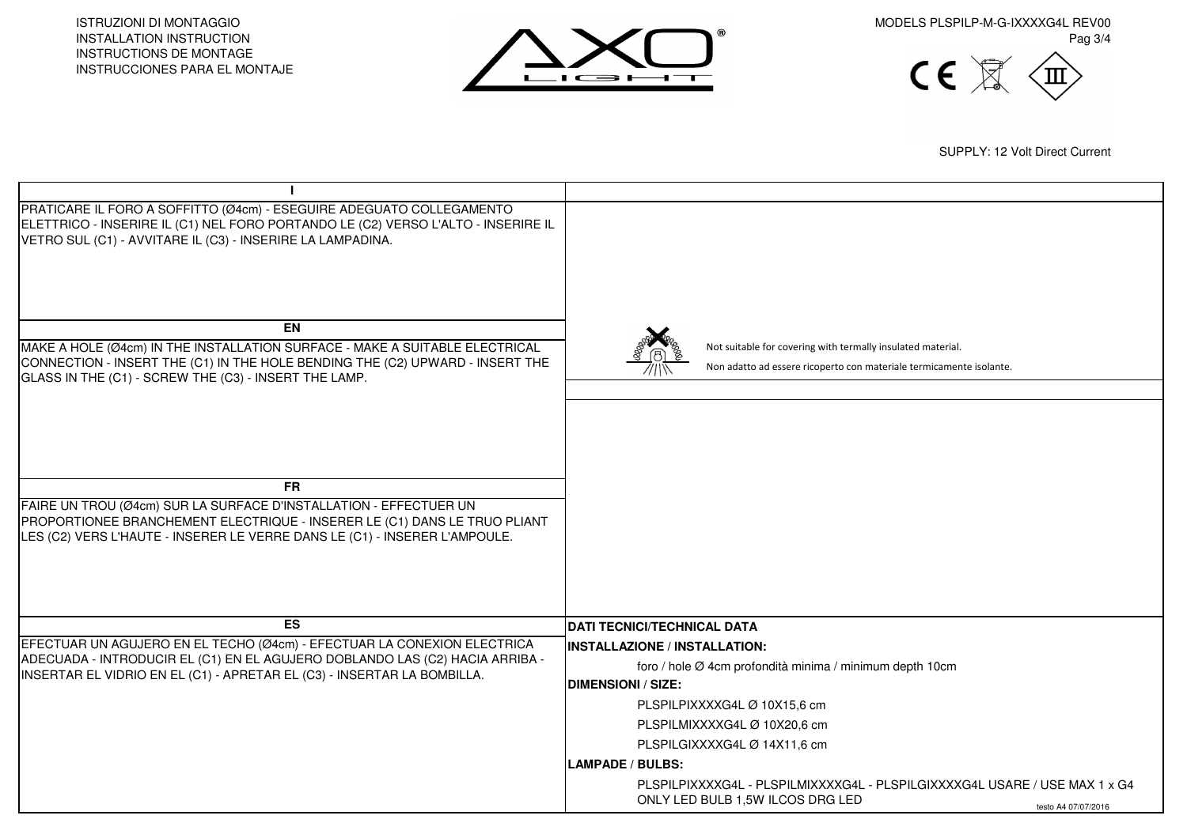ISTRUZIONI DI MONTAGGIO INSTALLATION INSTRUCTION INSTRUCTIONS DE MONTAGE INSTRUCCIONES PARA EL MONTAJE



MODELS PLSPILP-M-G-IXXXXG4L REV00 Pag 3/4



SUPPLY: 12 Volt Direct Current

| PRATICARE IL FORO A SOFFITTO (Ø4cm) - ESEGUIRE ADEGUATO COLLEGAMENTO                                                                                    |                                                                            |
|---------------------------------------------------------------------------------------------------------------------------------------------------------|----------------------------------------------------------------------------|
| ELETTRICO - INSERIRE IL (C1) NEL FORO PORTANDO LE (C2) VERSO L'ALTO - INSERIRE IL<br>VETRO SUL (C1) - AVVITARE IL (C3) - INSERIRE LA LAMPADINA.         |                                                                            |
|                                                                                                                                                         |                                                                            |
|                                                                                                                                                         |                                                                            |
|                                                                                                                                                         |                                                                            |
|                                                                                                                                                         |                                                                            |
| <b>EN</b>                                                                                                                                               |                                                                            |
| MAKE A HOLE (Ø4cm) IN THE INSTALLATION SURFACE - MAKE A SUITABLE ELECTRICAL                                                                             | Not suitable for covering with termally insulated material.                |
| CONNECTION - INSERT THE (C1) IN THE HOLE BENDING THE (C2) UPWARD - INSERT THE<br>GLASS IN THE (C1) - SCREW THE (C3) - INSERT THE LAMP.                  | Non adatto ad essere ricoperto con materiale termicamente isolante.        |
|                                                                                                                                                         |                                                                            |
|                                                                                                                                                         |                                                                            |
|                                                                                                                                                         |                                                                            |
|                                                                                                                                                         |                                                                            |
|                                                                                                                                                         |                                                                            |
| FR.                                                                                                                                                     |                                                                            |
| FAIRE UN TROU (Ø4cm) SUR LA SURFACE D'INSTALLATION - EFFECTUER UN                                                                                       |                                                                            |
| PROPORTIONEE BRANCHEMENT ELECTRIQUE - INSERER LE (C1) DANS LE TRUO PLIANT<br>LES (C2) VERS L'HAUTE - INSERER LE VERRE DANS LE (C1) - INSERER L'AMPOULE. |                                                                            |
|                                                                                                                                                         |                                                                            |
|                                                                                                                                                         |                                                                            |
|                                                                                                                                                         |                                                                            |
|                                                                                                                                                         |                                                                            |
| <b>ES</b>                                                                                                                                               | <b>DATI TECNICI/TECHNICAL DATA</b>                                         |
| EFECTUAR UN AGUJERO EN EL TECHO (Ø4cm) - EFECTUAR LA CONEXION ELECTRICA                                                                                 | <b>IINSTALLAZIONE / INSTALLATION:</b>                                      |
| ADECUADA - INTRODUCIR EL (C1) EN EL AGUJERO DOBLANDO LAS (C2) HACIA ARRIBA -<br>INSERTAR EL VIDRIO EN EL (C1) - APRETAR EL (C3) - INSERTAR LA BOMBILLA. | foro / hole Ø 4cm profondità minima / minimum depth 10cm                   |
|                                                                                                                                                         | <b>DIMENSIONI / SIZE:</b>                                                  |
|                                                                                                                                                         | PLSPILPIXXXXG4L Ø 10X15,6 cm                                               |
|                                                                                                                                                         | PLSPILMIXXXXG4L Ø 10X20.6 cm                                               |
|                                                                                                                                                         | PLSPILGIXXXXG4L Ø 14X11,6 cm                                               |
|                                                                                                                                                         | <b>LAMPADE / BULBS:</b>                                                    |
|                                                                                                                                                         | PLSPILPIXXXXG4L - PLSPILMIXXXXG4L - PLSPILGIXXXXG4L USARE / USE MAX 1 x G4 |
|                                                                                                                                                         | ONLY LED BULB 1,5W ILCOS DRG LED<br>testo A4 07/07/2016                    |